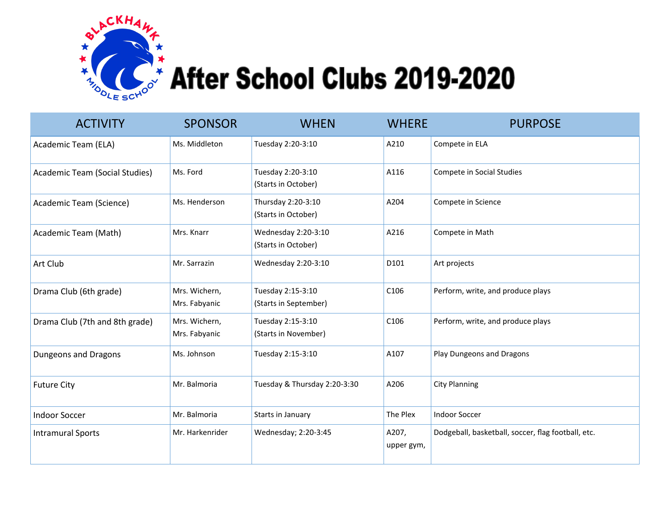

## $\mathbb{R}^2$  After School Clubs 2019-2020

| <b>ACTIVITY</b>                       | <b>SPONSOR</b>                 | <b>WHEN</b>                                | <b>WHERE</b>        | <b>PURPOSE</b>                                     |
|---------------------------------------|--------------------------------|--------------------------------------------|---------------------|----------------------------------------------------|
| Academic Team (ELA)                   | Ms. Middleton                  | Tuesday 2:20-3:10                          | A210                | Compete in ELA                                     |
| <b>Academic Team (Social Studies)</b> | Ms. Ford                       | Tuesday 2:20-3:10<br>(Starts in October)   | A116                | Compete in Social Studies                          |
| Academic Team (Science)               | Ms. Henderson                  | Thursday 2:20-3:10<br>(Starts in October)  | A204                | Compete in Science                                 |
| Academic Team (Math)                  | Mrs. Knarr                     | Wednesday 2:20-3:10<br>(Starts in October) | A216                | Compete in Math                                    |
| Art Club                              | Mr. Sarrazin                   | Wednesday 2:20-3:10                        | D101                | Art projects                                       |
| Drama Club (6th grade)                | Mrs. Wichern,<br>Mrs. Fabyanic | Tuesday 2:15-3:10<br>(Starts in September) | C106                | Perform, write, and produce plays                  |
| Drama Club (7th and 8th grade)        | Mrs. Wichern,<br>Mrs. Fabyanic | Tuesday 2:15-3:10<br>(Starts in November)  | C106                | Perform, write, and produce plays                  |
| Dungeons and Dragons                  | Ms. Johnson                    | Tuesday 2:15-3:10                          | A107                | Play Dungeons and Dragons                          |
| <b>Future City</b>                    | Mr. Balmoria                   | Tuesday & Thursday 2:20-3:30               | A206                | <b>City Planning</b>                               |
| <b>Indoor Soccer</b>                  | Mr. Balmoria                   | Starts in January                          | The Plex            | <b>Indoor Soccer</b>                               |
| <b>Intramural Sports</b>              | Mr. Harkenrider                | Wednesday; 2:20-3:45                       | A207,<br>upper gym, | Dodgeball, basketball, soccer, flag football, etc. |